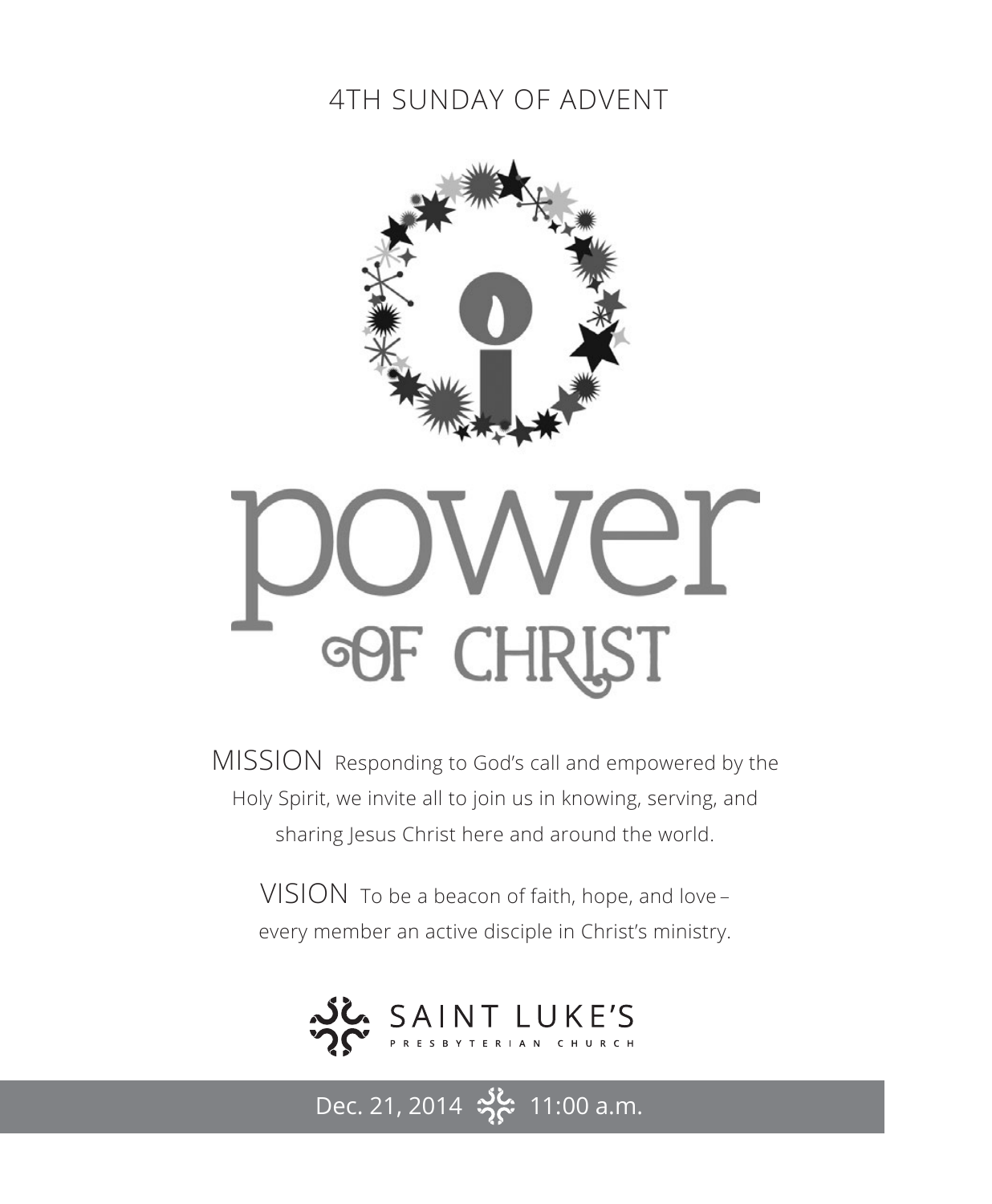# 4TH SUNDAY OF ADVENT



# ST **CHF** Gl

MISSION Responding to God's call and empowered by the Holy Spirit, we invite all to join us in knowing, serving, and sharing Jesus Christ here and around the world.

VISION To be a beacon of faith, hope, and love – every member an active disciple in Christ's ministry.



Dec. 21, 2014  $\frac{36}{2}$  11:00 a.m.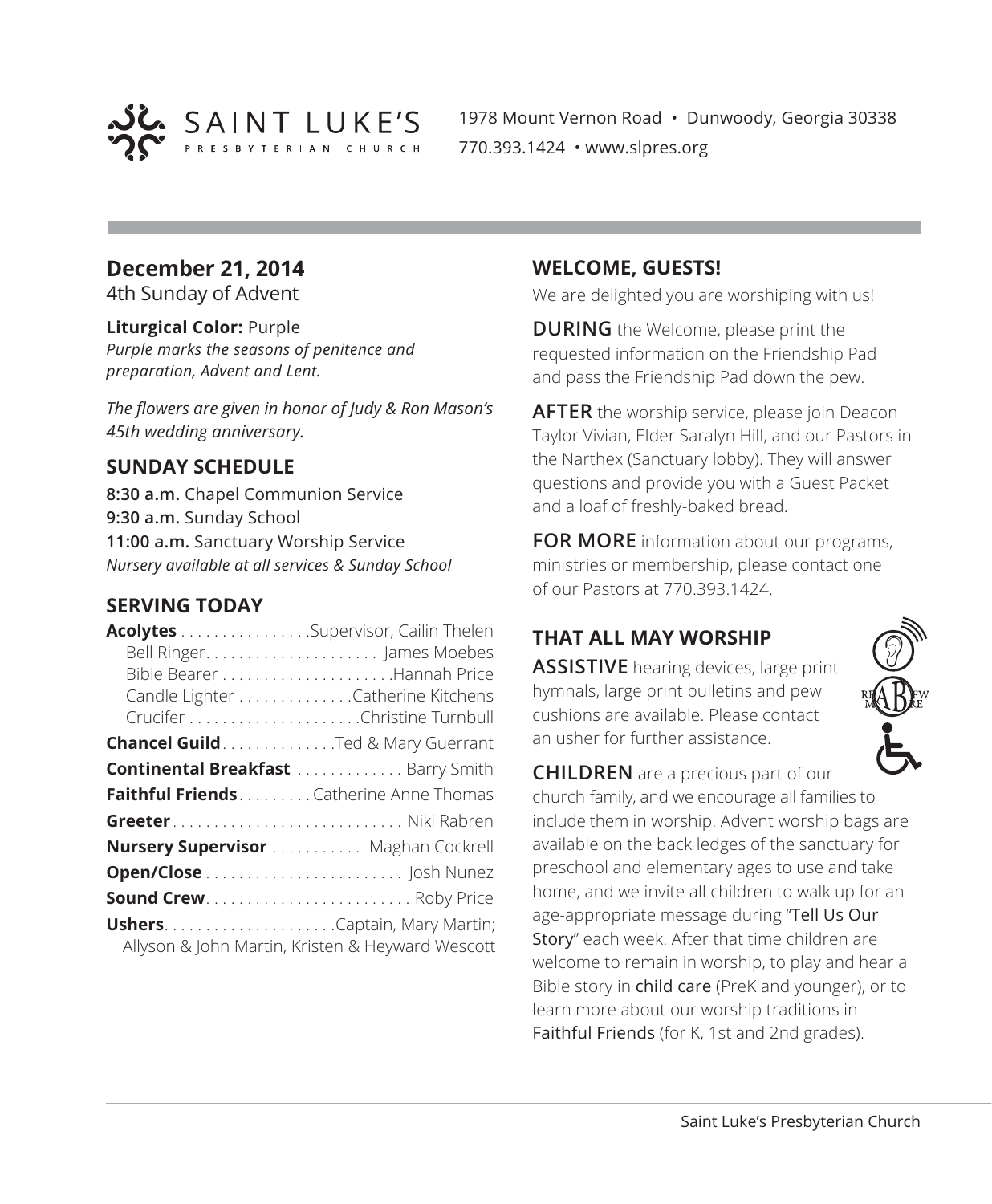

1978 Mount Vernon Road • Dunwoody, Georgia 30338 770.393.1424 • www.slpres.org

# **December 21, 2014**

4th Sunday of Advent

#### **Liturgical Color:** Purple

*Purple marks the seasons of penitence and preparation, Advent and Lent.*

*The flowers are given in honor of Judy & Ron Mason's 45th wedding anniversary.*

#### **SUNDAY SCHEDULE**

**8:30 a.m.** Chapel Communion Service **9:30 a.m.** Sunday School **11:00 a.m.** Sanctuary Worship Service *Nursery available at all services & Sunday School*

#### **SERVING TODAY**

| Acolytes Supervisor, Cailin Thelen            |                                                  |
|-----------------------------------------------|--------------------------------------------------|
|                                               |                                                  |
|                                               |                                                  |
|                                               | Candle Lighter Catherine Kitchens                |
|                                               |                                                  |
| Chancel Guild. Ted & Mary Guerrant            |                                                  |
| <b>Continental Breakfast  Barry Smith</b>     |                                                  |
| <b>Faithful Friends</b> Catherine Anne Thomas |                                                  |
|                                               |                                                  |
| <b>Nursery Supervisor</b> Maghan Cockrell     |                                                  |
|                                               |                                                  |
| <b>Sound Crew Roby Price</b>                  |                                                  |
| <b>UshersCaptain, Mary Martin;</b>            | Allyson & John Martin, Kristen & Heyward Wescott |

#### **WELCOME, GUESTS!**

We are delighted you are worshiping with us!

**DURING** the Welcome, please print the requested information on the Friendship Pad and pass the Friendship Pad down the pew.

**AFTER** the worship service, please join Deacon Taylor Vivian, Elder Saralyn Hill, and our Pastors in the Narthex (Sanctuary lobby). They will answer questions and provide you with a Guest Packet and a loaf of freshly-baked bread.

**FOR MORE** information about our programs, ministries or membership, please contact one of our Pastors at 770.393.1424.

# **THAT ALL MAY WORSHIP**

**ASSISTIVE** hearing devices, large print hymnals, large print bulletins and pew cushions are available. Please contact an usher for further assistance.



**CHILDREN** are a precious part of our church family, and we encourage all families to include them in worship. Advent worship bags are available on the back ledges of the sanctuary for preschool and elementary ages to use and take home, and we invite all children to walk up for an age-appropriate message during "Tell Us Our Story" each week. After that time children are welcome to remain in worship, to play and hear a Bible story in child care (PreK and younger), or to learn more about our worship traditions in Faithful Friends (for K, 1st and 2nd grades).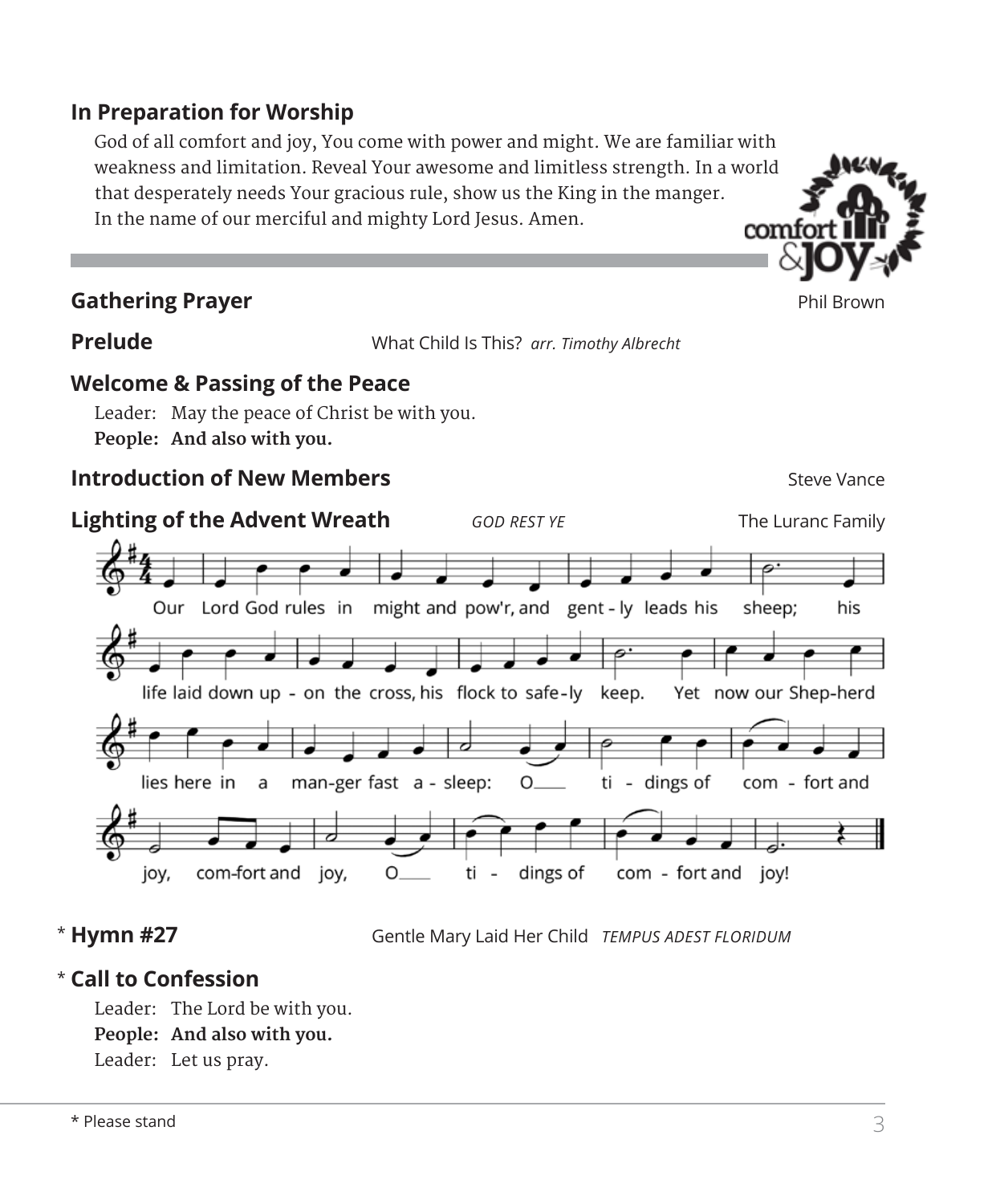# **In Preparation for Worship**

 God of all comfort and joy, You come with power and might. We are familiar with weakness and limitation. Reveal Your awesome and limitless strength. In a world that desperately needs Your gracious rule, show us the King in the manger. In the name of our merciful and mighty Lord Jesus. Amen.



**Prelude** What Child Is This? *arr. Timothy Albrecht*

# **Welcome & Passing of the Peace**

Leader: May the peace of Christ be with you. **People: And also with you.**

# **Introduction of New Members** Steve Vance



# \* Hymn #27

**Hymn #27** Gentle Mary Laid Her Child *TEMPUS ADEST FLORIDUM*

# **Call to Confession**  \*

Leader: The Lord be with you. **People: And also with you.** Leader: Let us pray.

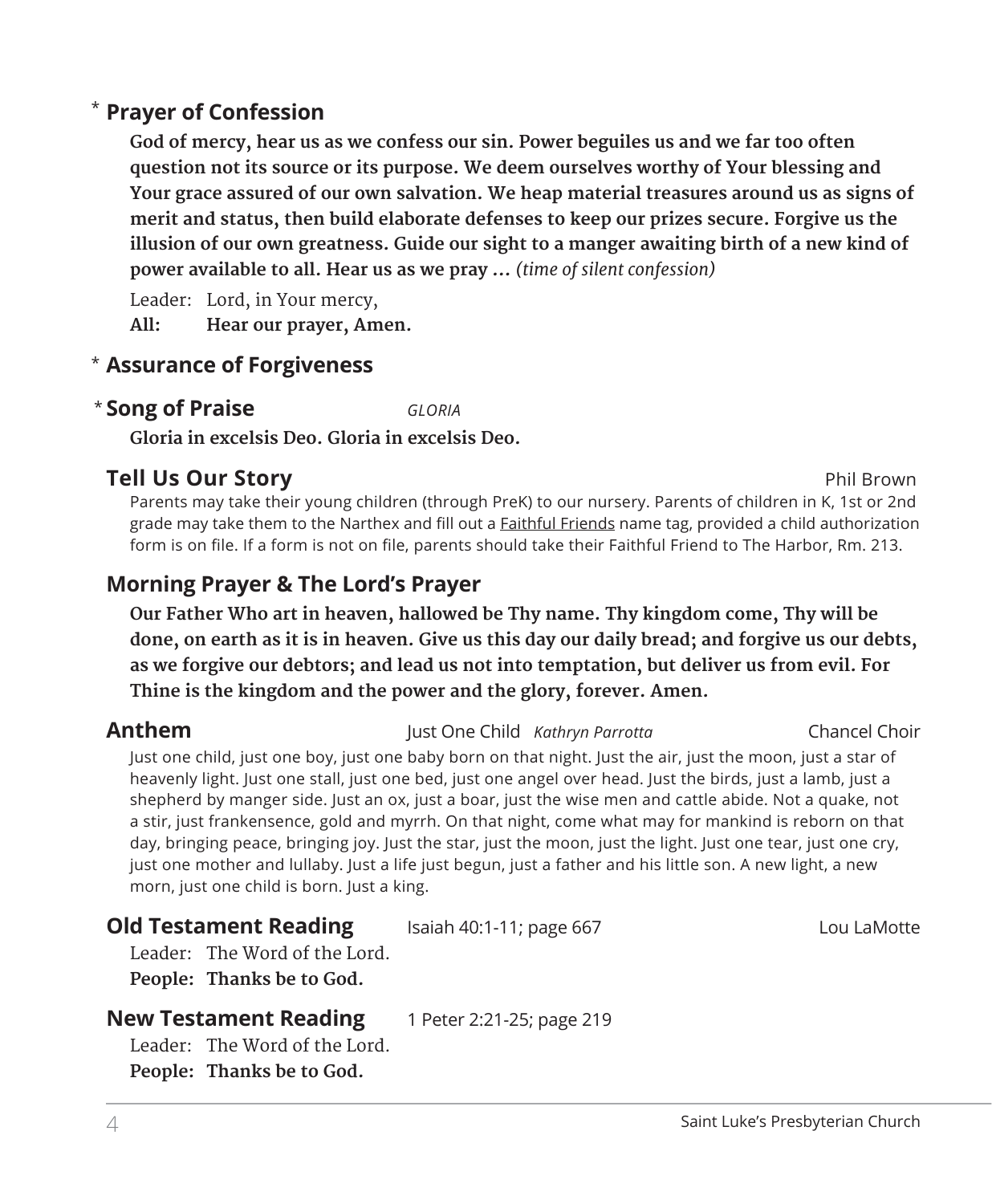# **Prayer of Confession**  \*

 **God of mercy, hear us as we confess our sin. Power beguiles us and we far too often question not its source or its purpose. We deem ourselves worthy of Your blessing and Your grace assured of our own salvation. We heap material treasures around us as signs of merit and status, then build elaborate defenses to keep our prizes secure. Forgive us the illusion of our own greatness. Guide our sight to a manger awaiting birth of a new kind of power available to all. Hear us as we pray …** *(time of silent confession)*

Leader: Lord, in Your mercy,

**All: Hear our prayer, Amen.**

# **Assurance of Forgiveness** \*

# **Song of Praise** *GLORIA* \*

**Gloria in excelsis Deo. Gloria in excelsis Deo.**

# **Tell Us Our Story Phil Brown**

 Parents may take their young children (through PreK) to our nursery. Parents of children in K, 1st or 2nd grade may take them to the Narthex and fill out a **Faithful Friends** name tag, provided a child authorization form is on file. If a form is not on file, parents should take their Faithful Friend to The Harbor, Rm. 213.

# **Morning Prayer & The Lord's Prayer**

 **Our Father Who art in heaven, hallowed be Thy name. Thy kingdom come, Thy will be done, on earth as it is in heaven. Give us this day our daily bread; and forgive us our debts, as we forgive our debtors; and lead us not into temptation, but deliver us from evil. For Thine is the kingdom and the power and the glory, forever. Amen.**

#### **Anthem** Just One Child *Kathryn Parrotta* Chancel Choir

 Just one child, just one boy, just one baby born on that night. Just the air, just the moon, just a star of heavenly light. Just one stall, just one bed, just one angel over head. Just the birds, just a lamb, just a shepherd by manger side. Just an ox, just a boar, just the wise men and cattle abide. Not a quake, not a stir, just frankensence, gold and myrrh. On that night, come what may for mankind is reborn on that day, bringing peace, bringing joy. Just the star, just the moon, just the light. Just one tear, just one cry, just one mother and lullaby. Just a life just begun, just a father and his little son. A new light, a new morn, just one child is born. Just a king.

# **Old Testament Reading** Isaiah 40:1-11; page 667 Lou LaMotte

Leader: The Word of the Lord. **People: Thanks be to God.** 

#### **New Testament Reading** 1 Peter 2:21-25; page 219

Leader: The Word of the Lord. **People: Thanks be to God.**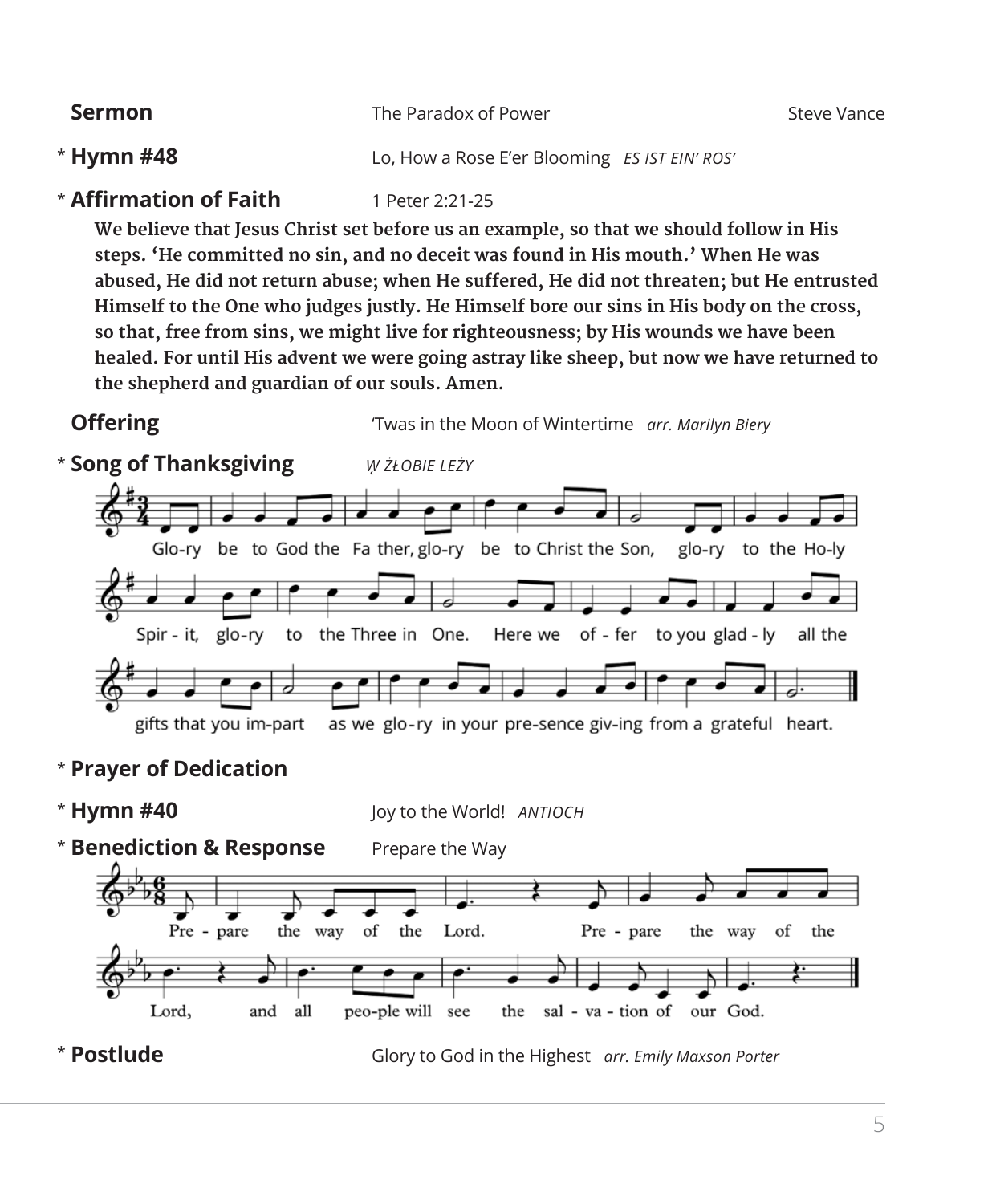| <b>Sermon</b>                 | The Paradox of Power                          | Steve Vance |
|-------------------------------|-----------------------------------------------|-------------|
| $*$ Hymn #48                  | Lo, How a Rose E'er Blooming ES IST EIN' ROS' |             |
| <b>* Affirmation of Faith</b> | 1 Peter 2:21-25                               |             |

 **We believe that Jesus Christ set before us an example, so that we should follow in His steps. 'He committed no sin, and no deceit was found in His mouth.' When He was abused, He did not return abuse; when He suffered, He did not threaten; but He entrusted Himself to the One who judges justly. He Himself bore our sins in His body on the cross, so that, free from sins, we might live for righteousness; by His wounds we have been healed. For until His advent we were going astray like sheep, but now we have returned to the shepherd and guardian of our souls. Amen.** 

**Offering** Twas in the Moon of Wintertime *arr. Marilyn Biery* 



# \* **Prayer of Dedication**

\* Hymn #40 **Hymn #40** Joy to the World! *ANTIOCH* \* **Benediction & Response** Prepare the Way of the Pre - pare the way Lord. Pre - pare the way of the Lord, and all peo-ple will see sal - va - tion of the our God. **Postlude** Glory to God in the Highest *arr. Emily Maxson Porter*\*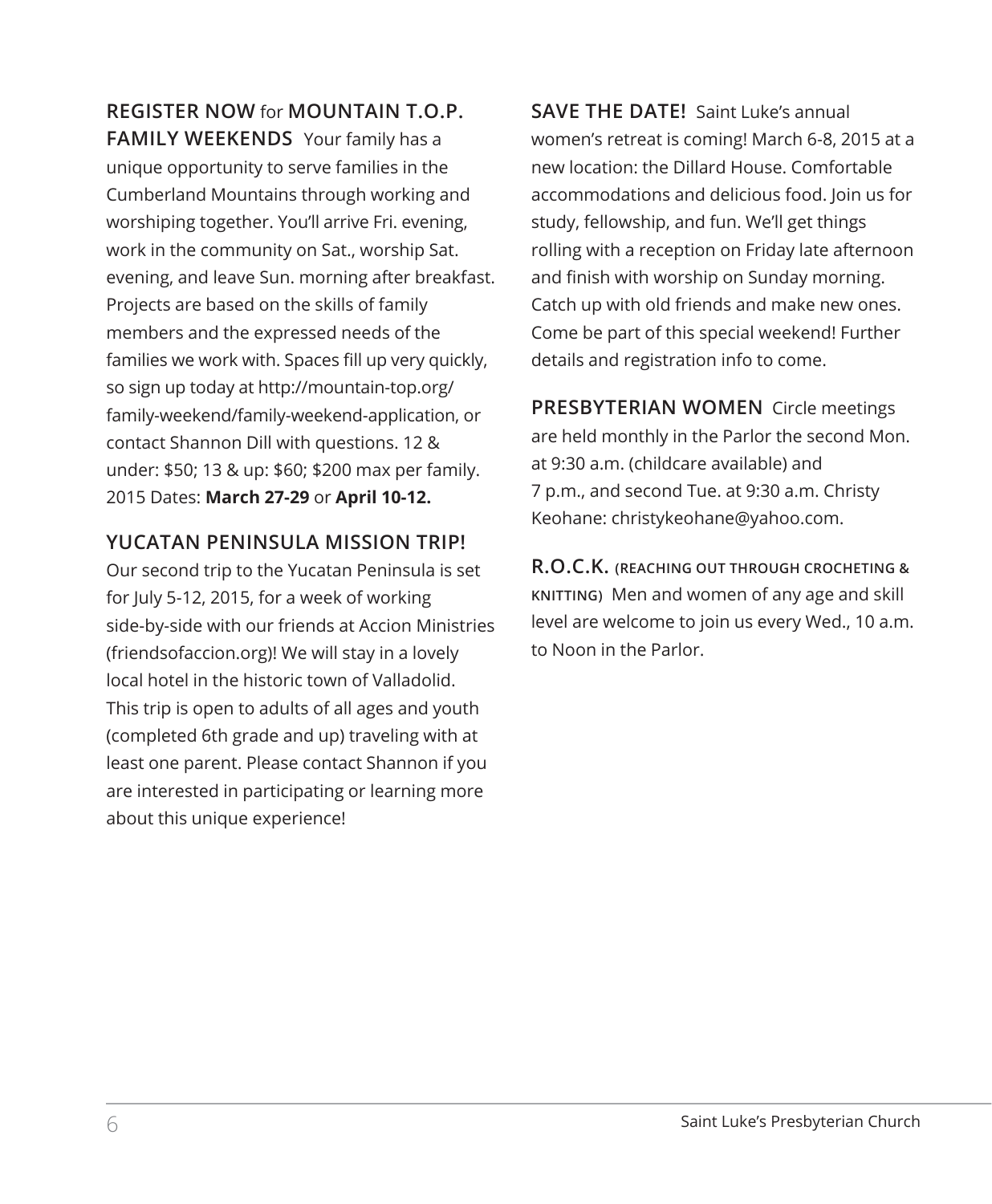**REGISTER NOW** for **MOUNTAIN T.O.P. FAMILY WEEKENDS** Your family has a unique opportunity to serve families in the Cumberland Mountains through working and worshiping together. You'll arrive Fri. evening, work in the community on Sat., worship Sat. evening, and leave Sun. morning after breakfast. Projects are based on the skills of family members and the expressed needs of the families we work with. Spaces fill up very quickly, so sign up today at http://mountain-top.org/ family-weekend/family-weekend-application, or contact Shannon Dill with questions. 12 & under: \$50; 13 & up: \$60; \$200 max per family. 2015 Dates: **March 27-29** or **April 10-12.**

# **YUCATAN PENINSULA MISSION TRIP!**

Our second trip to the Yucatan Peninsula is set for July 5-12, 2015, for a week of working side-by-side with our friends at Accion Ministries (friendsofaccion.org)! We will stay in a lovely local hotel in the historic town of Valladolid. This trip is open to adults of all ages and youth (completed 6th grade and up) traveling with at least one parent. Please contact Shannon if you are interested in participating or learning more about this unique experience!

**SAVE THE DATE!** Saint Luke's annual women's retreat is coming! March 6-8, 2015 at a new location: the Dillard House. Comfortable accommodations and delicious food. Join us for study, fellowship, and fun. We'll get things rolling with a reception on Friday late afternoon and finish with worship on Sunday morning. Catch up with old friends and make new ones. Come be part of this special weekend! Further details and registration info to come.

**PRESBYTERIAN WOMEN** Circle meetings are held monthly in the Parlor the second Mon. at 9:30 a.m. (childcare available) and 7 p.m., and second Tue. at 9:30 a.m. Christy Keohane: christykeohane@yahoo.com.

**R.O.C.K. (REACHING OUT THROUGH CROCHETING & KNITTING)** Men and women of any age and skill level are welcome to join us every Wed., 10 a.m. to Noon in the Parlor.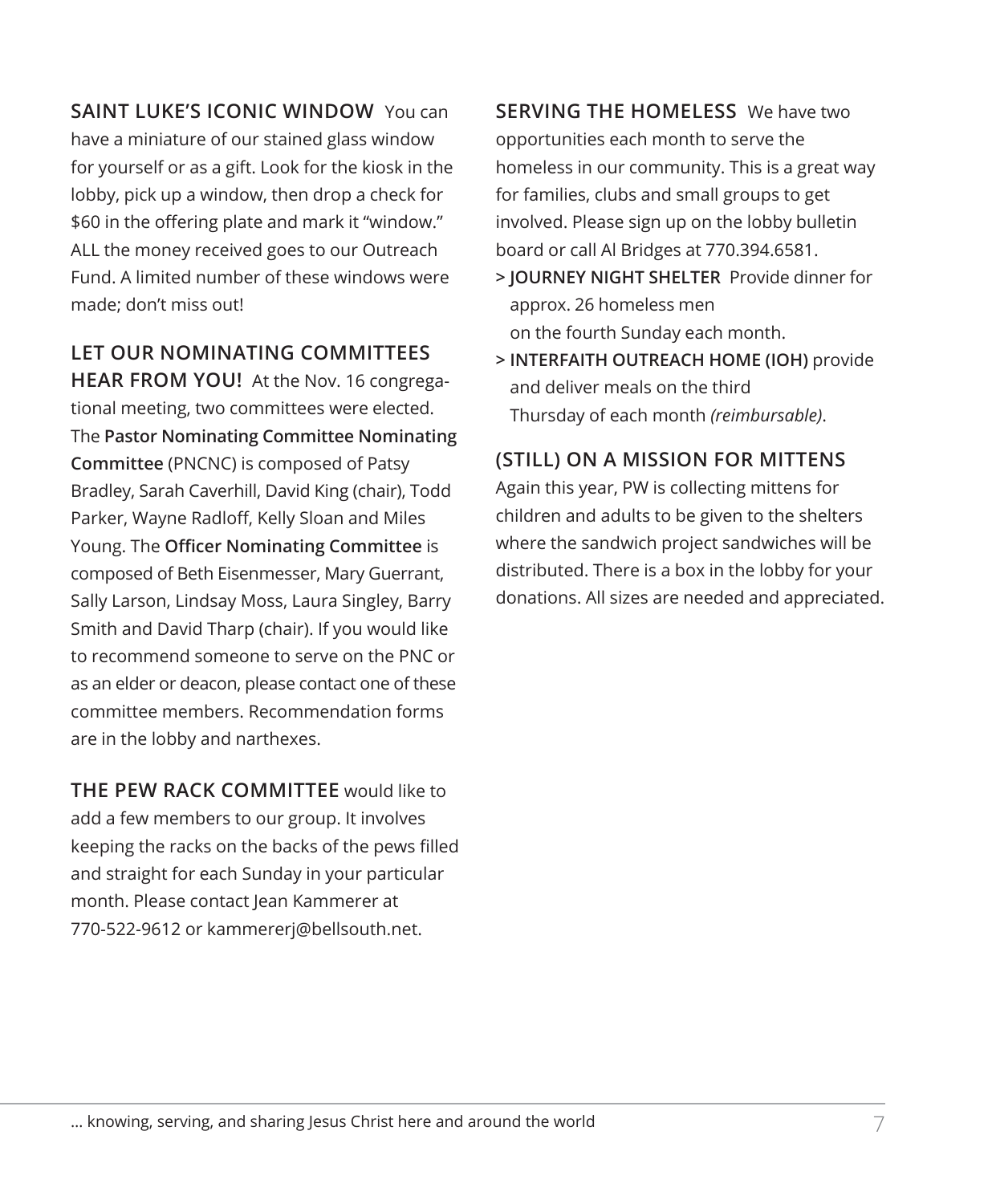**SAINT LUKE'S ICONIC WINDOW** You can have a miniature of our stained glass window for yourself or as a gift. Look for the kiosk in the lobby, pick up a window, then drop a check for \$60 in the offering plate and mark it "window." ALL the money received goes to our Outreach Fund. A limited number of these windows were made; don't miss out!

**LET OUR NOMINATING COMMITTEES** 

**HEAR FROM YOU!** At the Nov. 16 congregational meeting, two committees were elected. The **Pastor Nominating Committee Nominating Committee** (PNCNC) is composed of Patsy Bradley, Sarah Caverhill, David King (chair), Todd Parker, Wayne Radloff, Kelly Sloan and Miles Young. The **Officer Nominating Committee** is composed of Beth Eisenmesser, Mary Guerrant, Sally Larson, Lindsay Moss, Laura Singley, Barry Smith and David Tharp (chair). If you would like to recommend someone to serve on the PNC or as an elder or deacon, please contact one of these committee members. Recommendation forms are in the lobby and narthexes.

**THE PEW RACK COMMITTEE** would like to add a few members to our group. It involves keeping the racks on the backs of the pews filled and straight for each Sunday in your particular month. Please contact Jean Kammerer at 770-522-9612 or kammererj@bellsouth.net.

**SERVING THE HOMELESS** We have two opportunities each month to serve the homeless in our community. This is a great way for families, clubs and small groups to get involved. Please sign up on the lobby bulletin board or call Al Bridges at 770.394.6581.

- **> JOURNEY NIGHT SHELTER** Provide dinner for approx. 26 homeless men on the fourth Sunday each month.
- **> INTERFAITH OUTREACH HOME (IOH)** provide and deliver meals on the third Thursday of each month *(reimbursable)*.

# **(STILL) ON A MISSION FOR MITTENS**

Again this year, PW is collecting mittens for children and adults to be given to the shelters where the sandwich project sandwiches will be distributed. There is a box in the lobby for your donations. All sizes are needed and appreciated.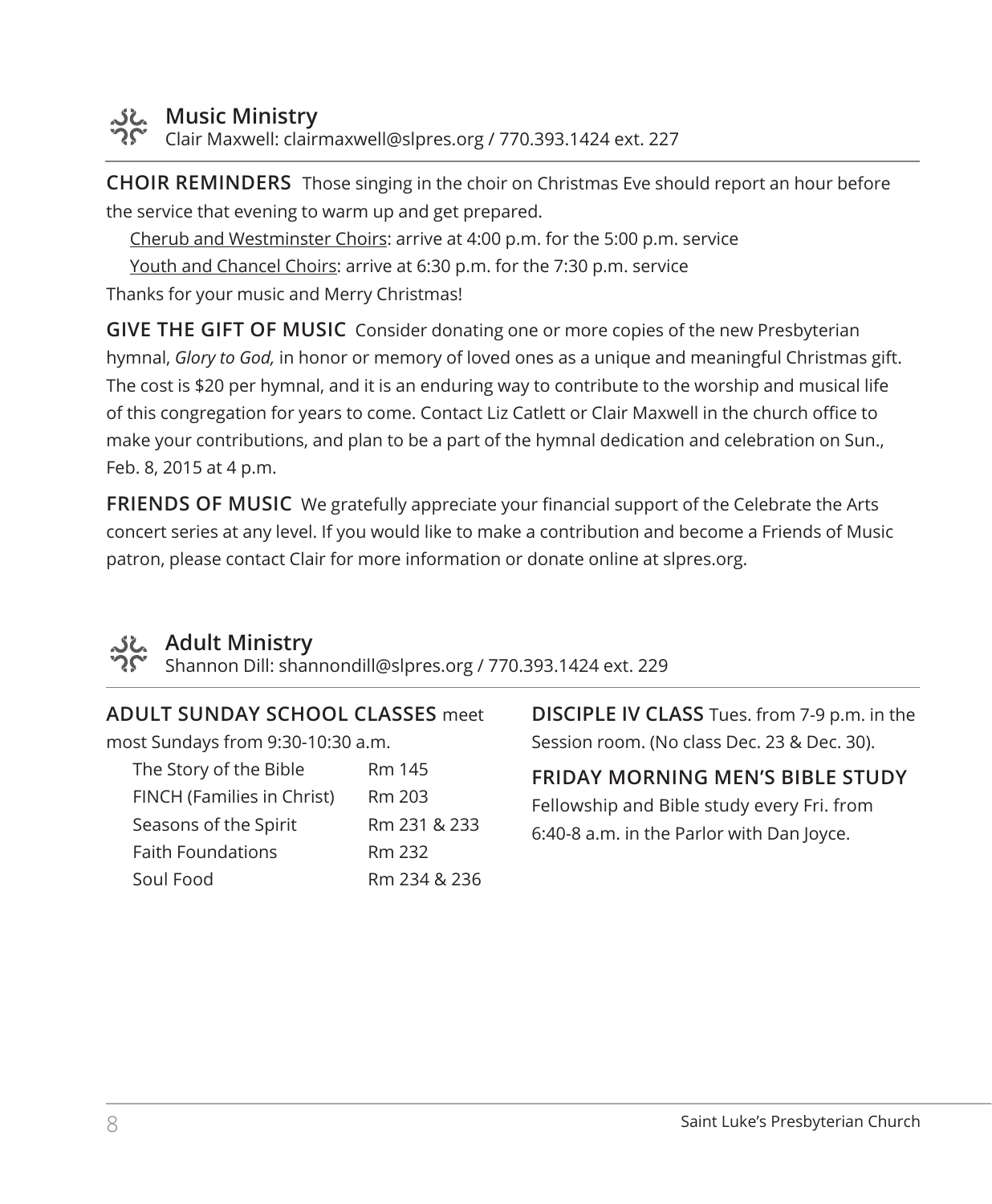

# **Music Ministry**

Clair Maxwell: clairmaxwell@slpres.org / 770.393.1424 ext. 227

**CHOIR REMINDERS** Those singing in the choir on Christmas Eve should report an hour before the service that evening to warm up and get prepared.

Cherub and Westminster Choirs: arrive at 4:00 p.m. for the 5:00 p.m. service

Youth and Chancel Choirs: arrive at 6:30 p.m. for the 7:30 p.m. service Thanks for your music and Merry Christmas!

**GIVE THE GIFT OF MUSIC** Consider donating one or more copies of the new Presbyterian hymnal, *Glory to God,* in honor or memory of loved ones as a unique and meaningful Christmas gift. The cost is \$20 per hymnal, and it is an enduring way to contribute to the worship and musical life of this congregation for years to come. Contact Liz Catlett or Clair Maxwell in the church office to make your contributions, and plan to be a part of the hymnal dedication and celebration on Sun., Feb. 8, 2015 at 4 p.m.

**FRIENDS OF MUSIC** We gratefully appreciate your financial support of the Celebrate the Arts concert series at any level. If you would like to make a contribution and become a Friends of Music patron, please contact Clair for more information or donate online at slpres.org.



# **Adult Ministry**

Shannon Dill: shannondill@slpres.org / 770.393.1424 ext. 229

#### **ADULT SUNDAY SCHOOL CLASSES** meet

most Sundays from 9:30-10:30 a.m.

| The Story of the Bible     | Rm 145       |
|----------------------------|--------------|
| FINCH (Families in Christ) | Rm 203       |
| Seasons of the Spirit      | Rm 231 & 233 |
| <b>Faith Foundations</b>   | Rm 232       |
| Soul Food                  | Rm 234 & 236 |

**DISCIPLE IV CLASS** Tues. from 7-9 p.m. in the Session room. (No class Dec. 23 & Dec. 30).

# **FRIDAY MORNING MEN'S BIBLE STUDY**

Fellowship and Bible study every Fri. from 6:40-8 a.m. in the Parlor with Dan Joyce.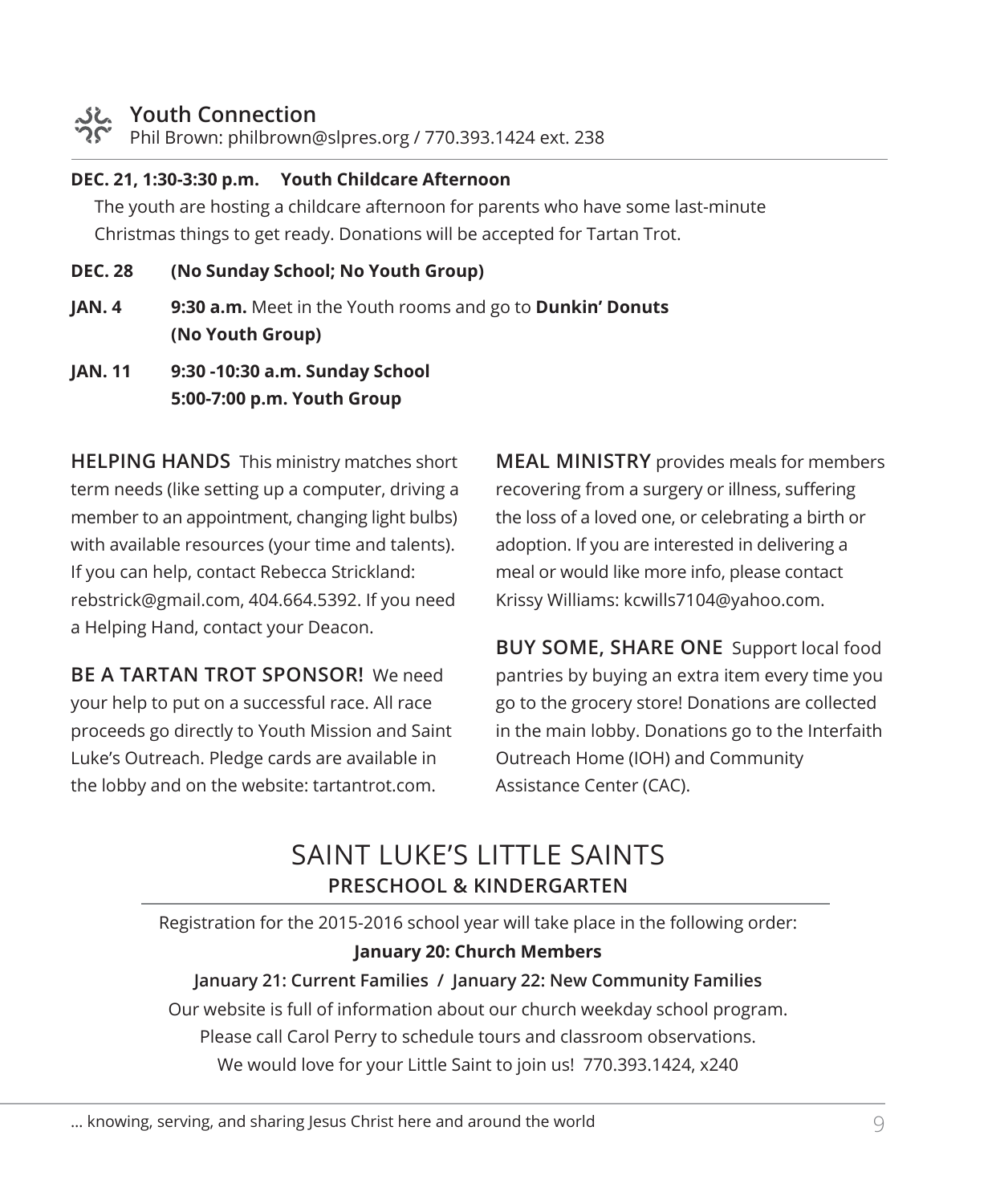### **Youth Connection**

Phil Brown: philbrown@slpres.org / 770.393.1424 ext. 238

#### **DEC. 21, 1:30-3:30 p.m. Youth Childcare Afternoon**

 The youth are hosting a childcare afternoon for parents who have some last-minute Christmas things to get ready. Donations will be accepted for Tartan Trot.

- **DEC. 28 (No Sunday School; No Youth Group)**
- **JAN. 4 9:30 a.m.** Meet in the Youth rooms and go to **Dunkin' Donuts (No Youth Group)**
- **JAN. 11 9:30 -10:30 a.m. Sunday School 5:00-7:00 p.m. Youth Group**

**HELPING HANDS** This ministry matches short term needs (like setting up a computer, driving a member to an appointment, changing light bulbs) with available resources (your time and talents). If you can help, contact Rebecca Strickland: rebstrick@gmail.com, 404.664.5392. If you need a Helping Hand, contact your Deacon.

**BE A TARTAN TROT SPONSOR!** We need your help to put on a successful race. All race proceeds go directly to Youth Mission and Saint Luke's Outreach. Pledge cards are available in the lobby and on the website: tartantrot.com.

**MEAL MINISTRY** provides meals for members recovering from a surgery or illness, suffering the loss of a loved one, or celebrating a birth or adoption. If you are interested in delivering a meal or would like more info, please contact Krissy Williams: kcwills7104@yahoo.com.

**BUY SOME, SHARE ONE** Support local food pantries by buying an extra item every time you go to the grocery store! Donations are collected in the main lobby. Donations go to the Interfaith Outreach Home (IOH) and Community Assistance Center (CAC).

# SAINT LUKE'S LITTI F SAINTS **PRESCHOOL & KINDERGARTEN**

Registration for the 2015-2016 school year will take place in the following order: **January 20: Church Members**

#### **January 21: Current Families / January 22: New Community Families**

Our website is full of information about our church weekday school program. Please call Carol Perry to schedule tours and classroom observations. We would love for your Little Saint to join us! 770.393.1424, x240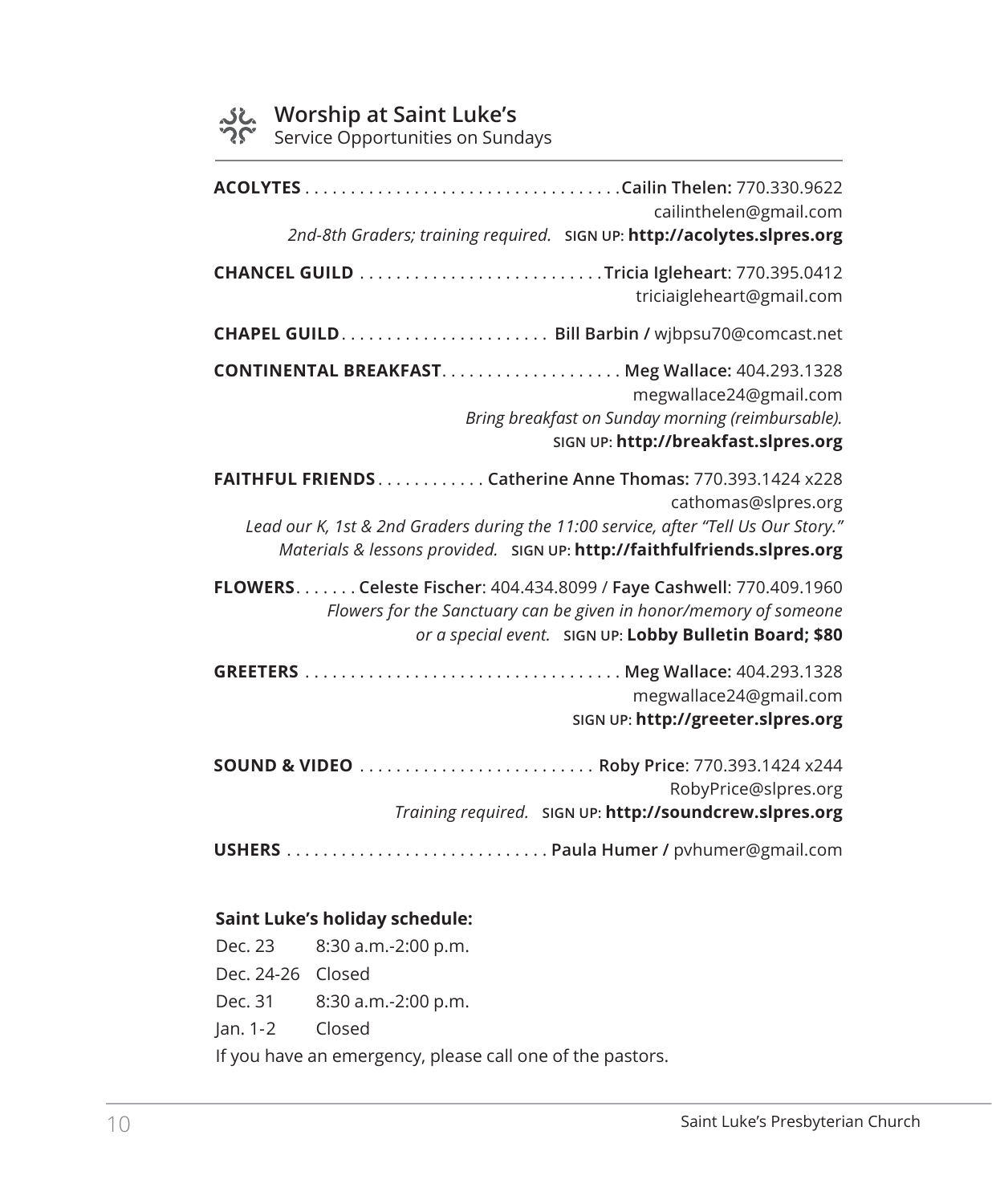## **Worship at Saint Luke's**

Service Opportunities on Sundays

| cailinthelen@gmail.com<br>2nd-8th Graders; training required. SIGN UP: http://acolytes.slpres.org                                                                                                                                                  |  |
|----------------------------------------------------------------------------------------------------------------------------------------------------------------------------------------------------------------------------------------------------|--|
| triciaigleheart@gmail.com                                                                                                                                                                                                                          |  |
|                                                                                                                                                                                                                                                    |  |
| megwallace24@gmail.com<br>Bring breakfast on Sunday morning (reimbursable).<br>SIGN UP: http://breakfast.slpres.org                                                                                                                                |  |
| FAITHFUL FRIENDS Catherine Anne Thomas: 770.393.1424 x228<br>cathomas@slpres.org<br>Lead our K, 1st & 2nd Graders during the 11:00 service, after "Tell Us Our Story."<br>Materials & lessons provided. SIGN UP: http://faithfulfriends.slpres.org |  |
| FLOWERS. Celeste Fischer: 404.434.8099 / Faye Cashwell: 770.409.1960<br>Flowers for the Sanctuary can be given in honor/memory of someone<br>or a special event. SIGN UP: Lobby Bulletin Board; \$80                                               |  |
| megwallace24@gmail.com<br>SIGN UP: http://greeter.slpres.org                                                                                                                                                                                       |  |
| SOUND & VIDEO  Roby Price: 770.393.1424 x244<br>RobyPrice@slpres.org<br>Training required. SIGN UP: http://soundcrew.slpres.org                                                                                                                    |  |

#### **Saint Luke's holiday schedule:**

Dec. 23 8:30 a.m.-2:00 p.m. Dec. 24-26 Closed Dec. 31 8:30 a.m.-2:00 p.m. Jan. 1-2 Closed If you have an emergency, please call one of the pastors.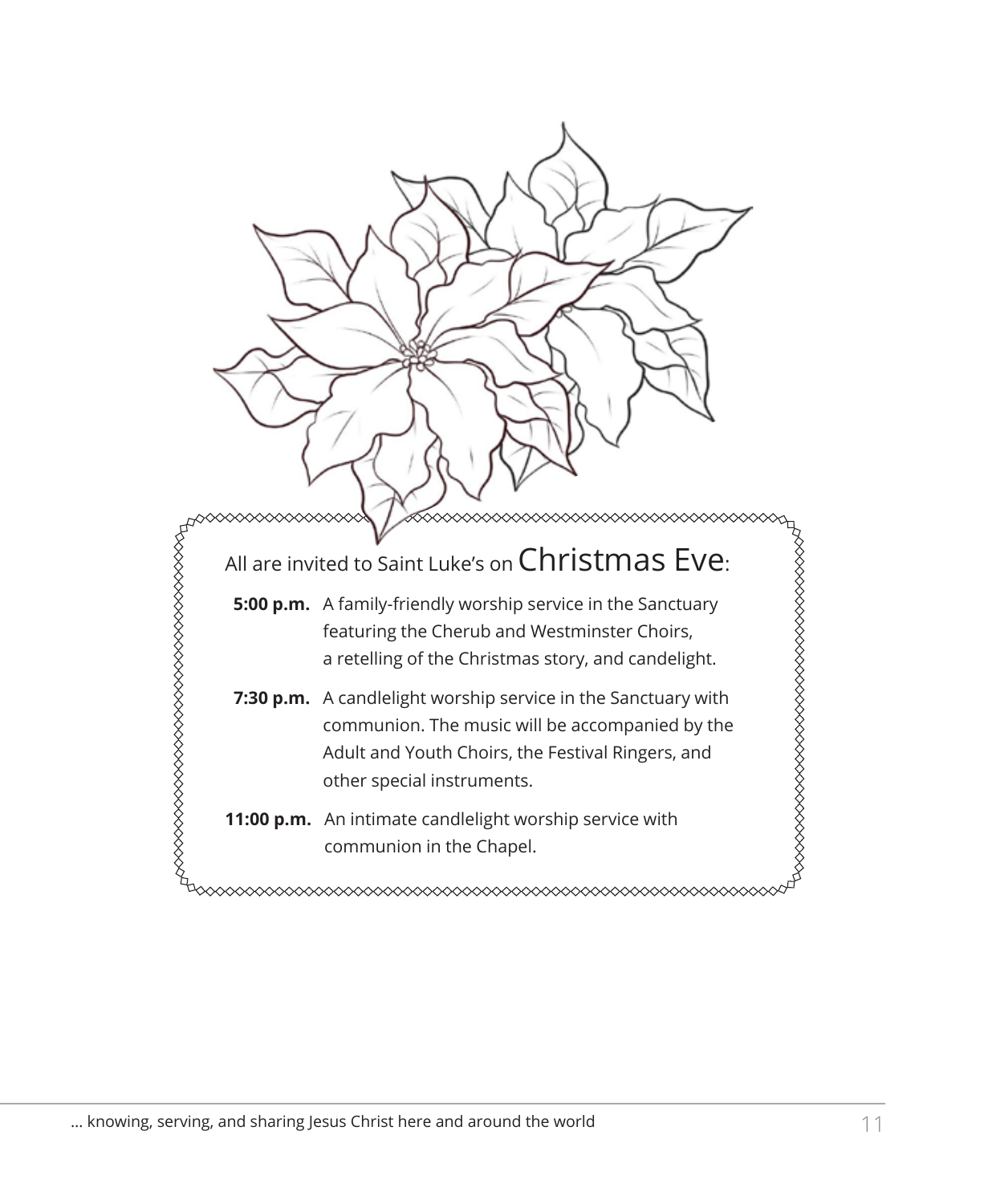